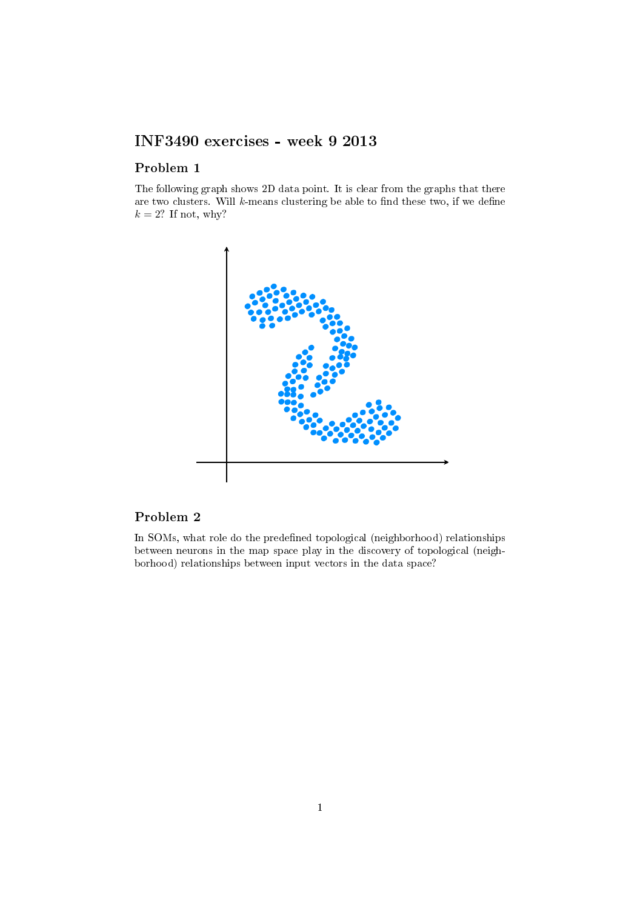## INF3490 exercises - week 9 2013

## Problem 1

The following graph shows 2D data point. It is clear from the graphs that there are two clusters. Will  $k$ -means clustering be able to find these two, if we define  $k = 2$ ? If not, why?



## Problem 2

In SOMs, what role do the predefined topological (neighborhood) relationships between neurons in the map space play in the discovery of topological (neighborhood) relationships between input vectors in the data space?